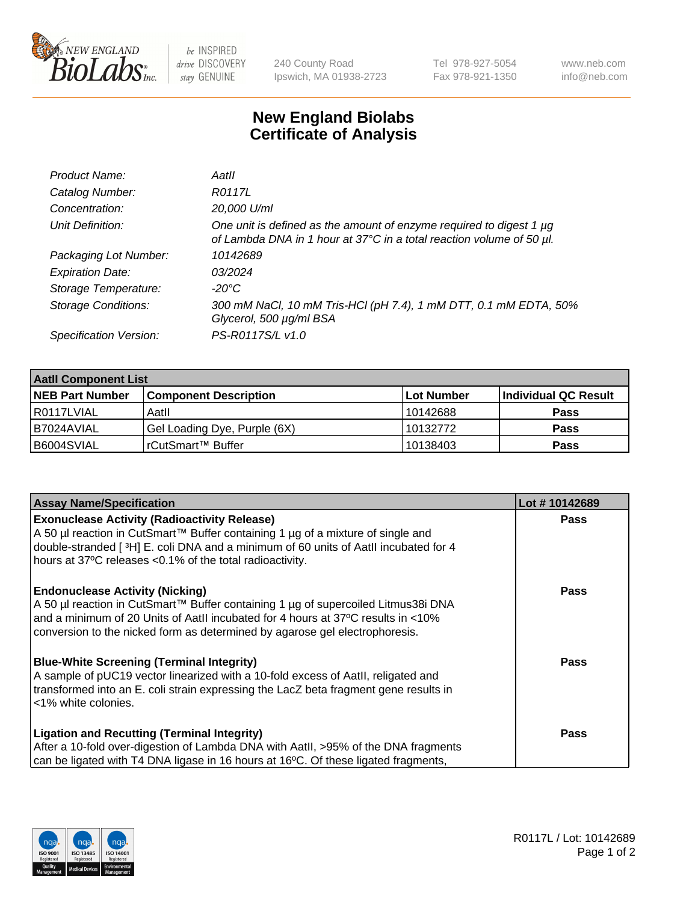

 $be$  INSPIRED drive DISCOVERY stay GENUINE

240 County Road Ipswich, MA 01938-2723 Tel 978-927-5054 Fax 978-921-1350 www.neb.com info@neb.com

## **New England Biolabs Certificate of Analysis**

| Product Name:              | Aatll                                                                                                                                       |
|----------------------------|---------------------------------------------------------------------------------------------------------------------------------------------|
| Catalog Number:            | R0117L                                                                                                                                      |
| Concentration:             | 20,000 U/ml                                                                                                                                 |
| Unit Definition:           | One unit is defined as the amount of enzyme required to digest 1 µg<br>of Lambda DNA in 1 hour at 37°C in a total reaction volume of 50 µl. |
| Packaging Lot Number:      | 10142689                                                                                                                                    |
| <b>Expiration Date:</b>    | 03/2024                                                                                                                                     |
| Storage Temperature:       | $-20^{\circ}$ C                                                                                                                             |
| <b>Storage Conditions:</b> | 300 mM NaCl, 10 mM Tris-HCl (pH 7.4), 1 mM DTT, 0.1 mM EDTA, 50%<br>Glycerol, 500 µg/ml BSA                                                 |
| Specification Version:     | PS-R0117S/L v1.0                                                                                                                            |

| <b>Aatll Component List</b> |                              |            |                      |  |  |
|-----------------------------|------------------------------|------------|----------------------|--|--|
| <b>NEB Part Number</b>      | <b>Component Description</b> | Lot Number | Individual QC Result |  |  |
| R0117LVIAL                  | Aatll                        | 10142688   | <b>Pass</b>          |  |  |
| I B7024AVIAL                | Gel Loading Dye, Purple (6X) | 10132772   | <b>Pass</b>          |  |  |
| B6004SVIAL                  | rCutSmart™ Buffer            | 10138403   | <b>Pass</b>          |  |  |

| <b>Assay Name/Specification</b>                                                                                                                                                                                                                                                                | Lot #10142689 |
|------------------------------------------------------------------------------------------------------------------------------------------------------------------------------------------------------------------------------------------------------------------------------------------------|---------------|
| <b>Exonuclease Activity (Radioactivity Release)</b><br>A 50 µl reaction in CutSmart™ Buffer containing 1 µg of a mixture of single and<br>double-stranded [3H] E. coli DNA and a minimum of 60 units of AatII incubated for 4<br>hours at 37°C releases <0.1% of the total radioactivity.      | <b>Pass</b>   |
| <b>Endonuclease Activity (Nicking)</b><br>A 50 µl reaction in CutSmart™ Buffer containing 1 µg of supercoiled Litmus38i DNA<br>and a minimum of 20 Units of AatII incubated for 4 hours at 37°C results in <10%<br>conversion to the nicked form as determined by agarose gel electrophoresis. | <b>Pass</b>   |
| <b>Blue-White Screening (Terminal Integrity)</b><br>A sample of pUC19 vector linearized with a 10-fold excess of Aatll, religated and<br>transformed into an E. coli strain expressing the LacZ beta fragment gene results in<br><1% white colonies.                                           | Pass          |
| <b>Ligation and Recutting (Terminal Integrity)</b><br>After a 10-fold over-digestion of Lambda DNA with Aatll, >95% of the DNA fragments<br>can be ligated with T4 DNA ligase in 16 hours at 16°C. Of these ligated fragments,                                                                 | <b>Pass</b>   |